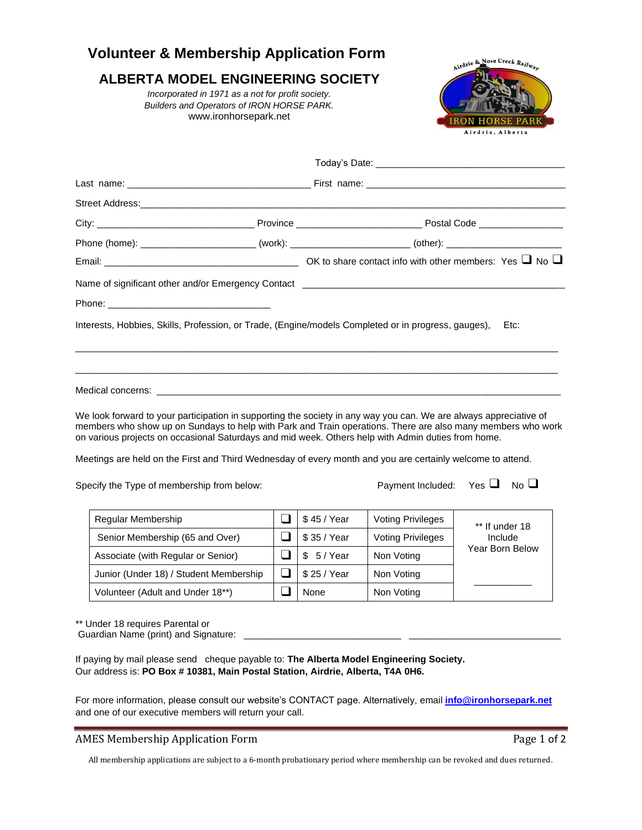## **Volunteer & Membership Application Form** Nose Creek Railway Airdrie & **ALBERTA MODEL ENGINEERING SOCIETY** *Incorporated in 1971 as a not for profit society. Builders and Operators of IRON HORSE PARK.* www.ironhorsepark.net Airdrie, Alberta Today's Date: \_\_\_\_\_\_\_\_\_\_\_\_\_\_\_\_\_\_\_\_\_\_\_\_\_\_\_\_\_\_\_\_\_\_\_\_ Last name: \_\_\_\_\_\_\_\_\_\_\_\_\_\_\_\_\_\_\_\_\_\_\_\_\_\_\_\_\_\_\_\_\_\_\_ First name: \_\_\_\_\_\_\_\_\_\_\_\_\_\_\_\_\_\_\_\_\_\_\_\_\_\_\_\_\_\_\_\_\_\_\_\_\_\_ Street Address:\_\_\_\_\_\_\_\_\_\_\_\_\_\_\_\_\_\_\_\_\_\_\_\_\_\_\_\_\_\_\_\_\_\_\_\_\_\_\_\_\_\_\_\_\_\_\_\_\_\_\_\_\_\_\_\_\_\_\_\_\_\_\_\_\_\_\_\_\_\_\_\_\_\_\_\_\_\_\_\_\_ City: \_\_\_\_\_\_\_\_\_\_\_\_\_\_\_\_\_\_\_\_\_\_\_\_\_\_\_\_\_\_ Province \_\_\_\_\_\_\_\_\_\_\_\_\_\_\_\_\_\_\_\_\_\_\_\_ Postal Code \_\_\_\_\_\_\_\_\_\_\_\_\_\_\_\_ Phone (home): \_\_\_\_\_\_\_\_\_\_\_\_\_\_\_\_\_\_\_\_\_\_ (work): \_\_\_\_\_\_\_\_\_\_\_\_\_\_\_\_\_\_\_\_\_\_\_ (other): \_\_\_\_\_\_\_\_\_\_\_\_\_\_\_\_\_\_\_\_\_\_ Email: \_\_\_\_\_\_\_\_\_\_\_\_\_\_\_\_\_\_\_\_\_\_\_\_\_\_\_\_\_\_\_\_\_\_\_\_\_ OK to share contact info with other members: Yes ❑ No ❑ Name of significant other and/or Emergency Contact **Learning and** Phone: Interests, Hobbies, Skills, Profession, or Trade, (Engine/models Completed or in progress, gauges), Etc:  $\overline{a}$  , and the state of the state of the state of the state of the state of the state of the state of the state of the state of the state of the state of the state of the state of the state of the state of the state o  $\overline{a}$  , and the state of the state of the state of the state of the state of the state of the state of the state of the state of the state of the state of the state of the state of the state of the state of the state o Medical concerns: \_\_\_\_\_\_\_\_\_\_\_\_\_\_\_\_\_\_\_\_\_\_\_\_\_\_\_\_\_\_\_\_\_\_\_\_\_\_\_\_\_\_\_\_\_\_\_\_\_\_\_\_\_\_\_\_\_\_\_\_\_\_\_\_\_\_\_\_\_\_\_\_\_\_\_\_\_

We look forward to your participation in supporting the society in any way you can. We are always appreciative of members who show up on Sundays to help with Park and Train operations. There are also many members who work on various projects on occasional Saturdays and mid week. Others help with Admin duties from home.

Meetings are held on the First and Third Wednesday of every month and you are certainly welcome to attend.

Specify the Type of membership from below: Payment Included: Yes  $\Box$  No  $\Box$ 

| Regular Membership                     | \$45 / Year  | <b>Voting Privileges</b> | ** If under 18<br>Include<br>Year Born Below |
|----------------------------------------|--------------|--------------------------|----------------------------------------------|
| Senior Membership (65 and Over)        | \$35 / Year  | <b>Voting Privileges</b> |                                              |
| Associate (with Regular or Senior)     | 5/Year<br>\$ | Non Voting               |                                              |
| Junior (Under 18) / Student Membership | \$25 / Year  | Non Voting               |                                              |
| Volunteer (Adult and Under 18**)       | None         | Non Voting               |                                              |

\*\* Under 18 requires Parental or

Guardian Name (print) and Signature: \_\_\_\_\_\_\_\_\_\_\_\_\_\_\_\_\_\_\_\_\_\_\_\_\_\_\_\_\_\_ \_\_\_\_\_\_\_\_\_\_\_\_\_\_\_\_\_\_\_\_\_\_\_\_\_\_\_\_\_

If paying by mail please send cheque payable to: **The Alberta Model Engineering Society.**  Our address is: **PO Box # 10381, Main Postal Station, Airdrie, Alberta, T4A 0H6.**

For more information, please consult our website's CONTACT page. Alternatively, email **[info@ironhorsepark.net](mailto:info@ironhorsepark.net)** and one of our executive members will return your call.

## AMES Membership Application Form **Page 1** of 2

All membership applications are subject to a 6-month probationary period where membership can be revoked and dues returned.